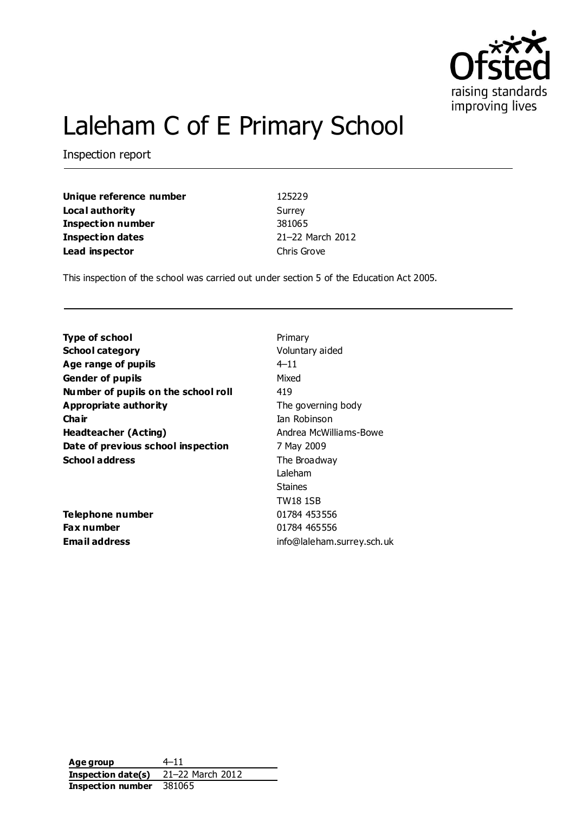

# Laleham C of E Primary School

Inspection report

**Unique reference number** 125229 **Local authority** Surrey **Inspection number** 381065 **Inspection dates** 21–22 March 2012 **Lead inspector** Chris Grove

This inspection of the school was carried out under section 5 of the Education Act 2005.

| <b>Type of school</b>               | Primary                    |
|-------------------------------------|----------------------------|
|                                     |                            |
| <b>School category</b>              | Voluntary aided            |
| Age range of pupils                 | $4 - 11$                   |
| <b>Gender of pupils</b>             | Mixed                      |
| Number of pupils on the school roll | 419                        |
| Appropriate authority               | The governing body         |
| Cha ir                              | Tan Robinson               |
| <b>Headteacher (Acting)</b>         | Andrea McWilliams-Bowe     |
| Date of previous school inspection  | 7 May 2009                 |
| <b>School address</b>               | The Broadway               |
|                                     | Laleham                    |
|                                     | <b>Staines</b>             |
|                                     | <b>TW18 1SB</b>            |
| Telephone number                    | 01784 453556               |
| Fax number                          | 01784 465556               |
| Email address                       | info@laleham.surrey.sch.uk |

**Age group** 4–11 **Inspection date(s)** 21–22 March 2012 **Inspection number** 381065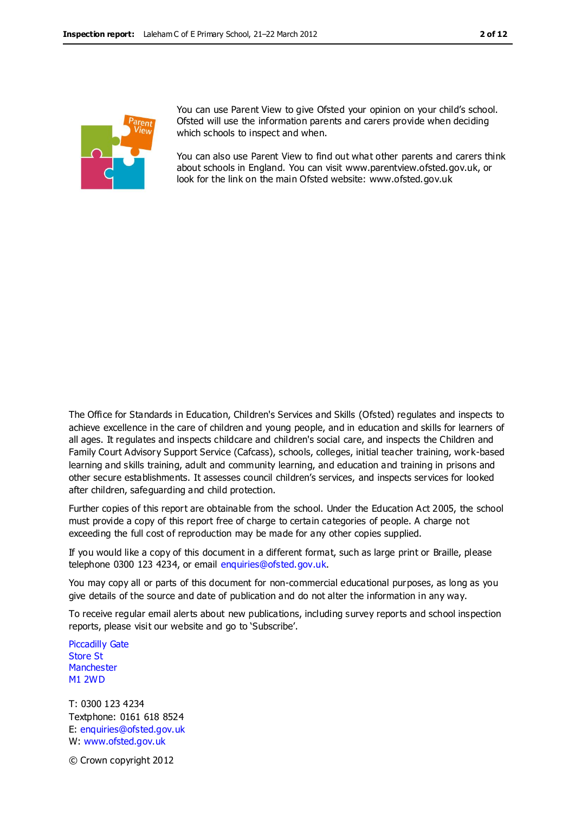

You can use Parent View to give Ofsted your opinion on your child's school. Ofsted will use the information parents and carers provide when deciding which schools to inspect and when.

You can also use Parent View to find out what other parents and carers think about schools in England. You can visit www.parentview.ofsted.gov.uk, or look for the link on the main Ofsted website: www.ofsted.gov.uk

The Office for Standards in Education, Children's Services and Skills (Ofsted) regulates and inspects to achieve excellence in the care of children and young people, and in education and skills for learners of all ages. It regulates and inspects childcare and children's social care, and inspects the Children and Family Court Advisory Support Service (Cafcass), schools, colleges, initial teacher training, work-based learning and skills training, adult and community learning, and education and training in prisons and other secure establishments. It assesses council children's services, and inspects services for looked after children, safeguarding and child protection.

Further copies of this report are obtainable from the school. Under the Education Act 2005, the school must provide a copy of this report free of charge to certain categories of people. A charge not exceeding the full cost of reproduction may be made for any other copies supplied.

If you would like a copy of this document in a different format, such as large print or Braille, please telephone 0300 123 4234, or email enquiries@ofsted.gov.uk.

You may copy all or parts of this document for non-commercial educational purposes, as long as you give details of the source and date of publication and do not alter the information in any way.

To receive regular email alerts about new publications, including survey reports and school inspection reports, please visit our website and go to 'Subscribe'.

Piccadilly Gate Store St **Manchester** M1 2WD

T: 0300 123 4234 Textphone: 0161 618 8524 E: enquiries@ofsted.gov.uk W: www.ofsted.gov.uk

© Crown copyright 2012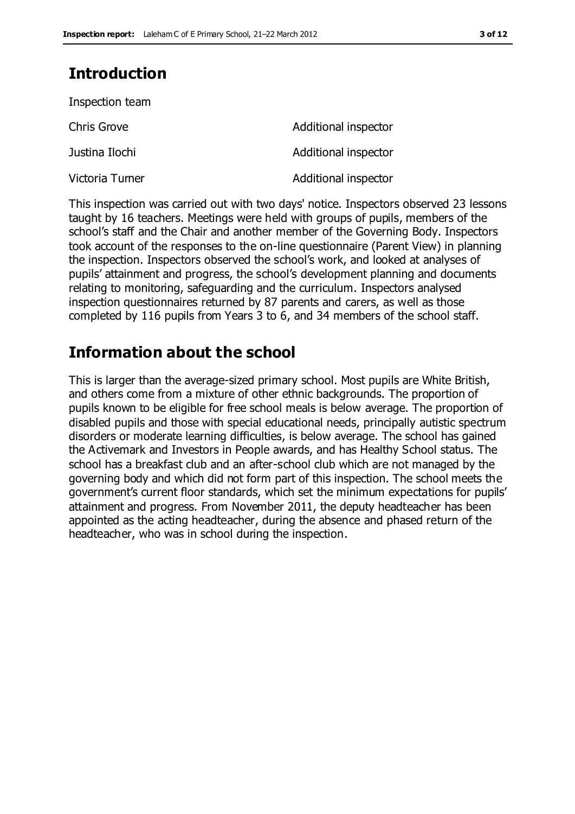# **Introduction**

| Inspection team |                      |
|-----------------|----------------------|
| Chris Grove     | Additional inspector |
| Justina Ilochi  | Additional inspector |
| Victoria Turner | Additional inspector |

This inspection was carried out with two days' notice. Inspectors observed 23 lessons taught by 16 teachers. Meetings were held with groups of pupils, members of the school's staff and the Chair and another member of the Governing Body. Inspectors took account of the responses to the on-line questionnaire (Parent View) in planning the inspection. Inspectors observed the school's work, and looked at analyses of pupils' attainment and progress, the school's development planning and documents relating to monitoring, safeguarding and the curriculum. Inspectors analysed inspection questionnaires returned by 87 parents and carers, as well as those completed by 116 pupils from Years 3 to 6, and 34 members of the school staff.

# **Information about the school**

This is larger than the average-sized primary school. Most pupils are White British, and others come from a mixture of other ethnic backgrounds. The proportion of pupils known to be eligible for free school meals is below average. The proportion of disabled pupils and those with special educational needs, principally autistic spectrum disorders or moderate learning difficulties, is below average. The school has gained the Activemark and Investors in People awards, and has Healthy School status. The school has a breakfast club and an after-school club which are not managed by the governing body and which did not form part of this inspection. The school meets the government's current floor standards, which set the minimum expectations for pupils' attainment and progress. From November 2011, the deputy headteacher has been appointed as the acting headteacher, during the absence and phased return of the headteacher, who was in school during the inspection.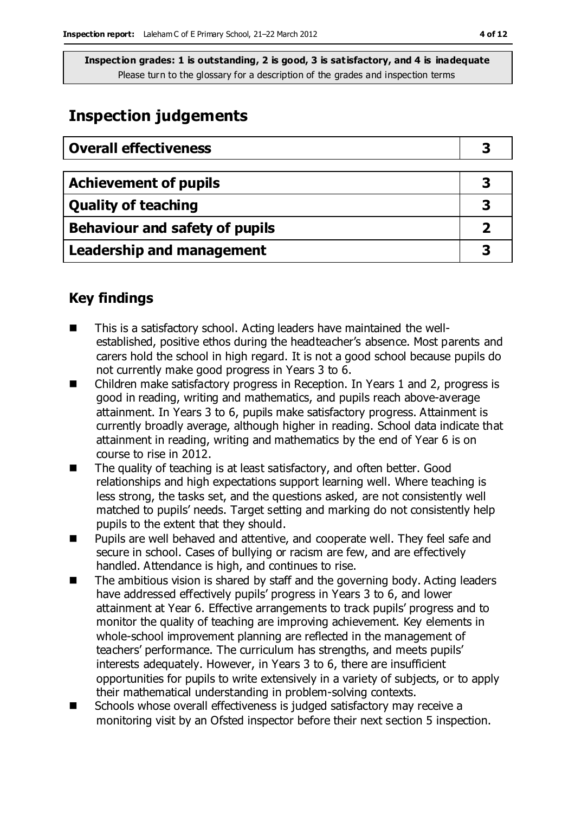# **Inspection judgements**

| <b>Overall effectiveness</b>          |   |
|---------------------------------------|---|
|                                       |   |
| <b>Achievement of pupils</b>          | 3 |
| <b>Quality of teaching</b>            |   |
| <b>Behaviour and safety of pupils</b> |   |
| <b>Leadership and management</b>      |   |

# **Key findings**

- This is a satisfactory school. Acting leaders have maintained the wellestablished, positive ethos during the headteacher's absence. Most parents and carers hold the school in high regard. It is not a good school because pupils do not currently make good progress in Years 3 to 6.
- Children make satisfactory progress in Reception. In Years 1 and 2, progress is good in reading, writing and mathematics, and pupils reach above-average attainment. In Years 3 to 6, pupils make satisfactory progress. Attainment is currently broadly average, although higher in reading. School data indicate that attainment in reading, writing and mathematics by the end of Year 6 is on course to rise in 2012.
- The quality of teaching is at least satisfactory, and often better. Good relationships and high expectations support learning well. Where teaching is less strong, the tasks set, and the questions asked, are not consistently well matched to pupils' needs. Target setting and marking do not consistently help pupils to the extent that they should.
- **Pupils are well behaved and attentive, and cooperate well. They feel safe and** secure in school. Cases of bullying or racism are few, and are effectively handled. Attendance is high, and continues to rise.
- The ambitious vision is shared by staff and the governing body. Acting leaders have addressed effectively pupils' progress in Years 3 to 6, and lower attainment at Year 6. Effective arrangements to track pupils' progress and to monitor the quality of teaching are improving achievement. Key elements in whole-school improvement planning are reflected in the management of teachers' performance. The curriculum has strengths, and meets pupils' interests adequately. However, in Years 3 to 6, there are insufficient opportunities for pupils to write extensively in a variety of subjects, or to apply their mathematical understanding in problem-solving contexts.
- Schools whose overall effectiveness is judged satisfactory may receive a monitoring visit by an Ofsted inspector before their next section 5 inspection.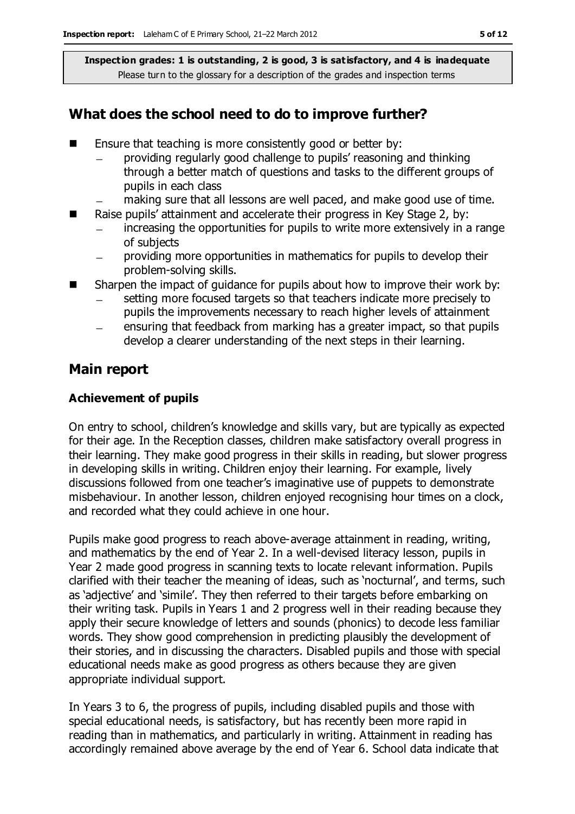# **What does the school need to do to improve further?**

- Ensure that teaching is more consistently good or better by:
	- providing regularly good challenge to pupils' reasoning and thinking through a better match of questions and tasks to the different groups of pupils in each class
	- making sure that all lessons are well paced, and make good use of time.
- Raise pupils' attainment and accelerate their progress in Key Stage 2, by:
	- increasing the opportunities for pupils to write more extensively in a range of subjects
	- providing more opportunities in mathematics for pupils to develop their  $\equiv$ problem-solving skills.
- Sharpen the impact of guidance for pupils about how to improve their work by:
	- setting more focused targets so that teachers indicate more precisely to pupils the improvements necessary to reach higher levels of attainment
	- ensuring that feedback from marking has a greater impact, so that pupils develop a clearer understanding of the next steps in their learning.

### **Main report**

### **Achievement of pupils**

On entry to school, children's knowledge and skills vary, but are typically as expected for their age. In the Reception classes, children make satisfactory overall progress in their learning. They make good progress in their skills in reading, but slower progress in developing skills in writing. Children enjoy their learning. For example, lively discussions followed from one teacher's imaginative use of puppets to demonstrate misbehaviour. In another lesson, children enjoyed recognising hour times on a clock, and recorded what they could achieve in one hour.

Pupils make good progress to reach above-average attainment in reading, writing, and mathematics by the end of Year 2. In a well-devised literacy lesson, pupils in Year 2 made good progress in scanning texts to locate relevant information. Pupils clarified with their teacher the meaning of ideas, such as 'nocturnal', and terms, such as 'adjective' and 'simile'. They then referred to their targets before embarking on their writing task. Pupils in Years 1 and 2 progress well in their reading because they apply their secure knowledge of letters and sounds (phonics) to decode less familiar words. They show good comprehension in predicting plausibly the development of their stories, and in discussing the characters. Disabled pupils and those with special educational needs make as good progress as others because they are given appropriate individual support.

In Years 3 to 6, the progress of pupils, including disabled pupils and those with special educational needs, is satisfactory, but has recently been more rapid in reading than in mathematics, and particularly in writing. Attainment in reading has accordingly remained above average by the end of Year 6. School data indicate that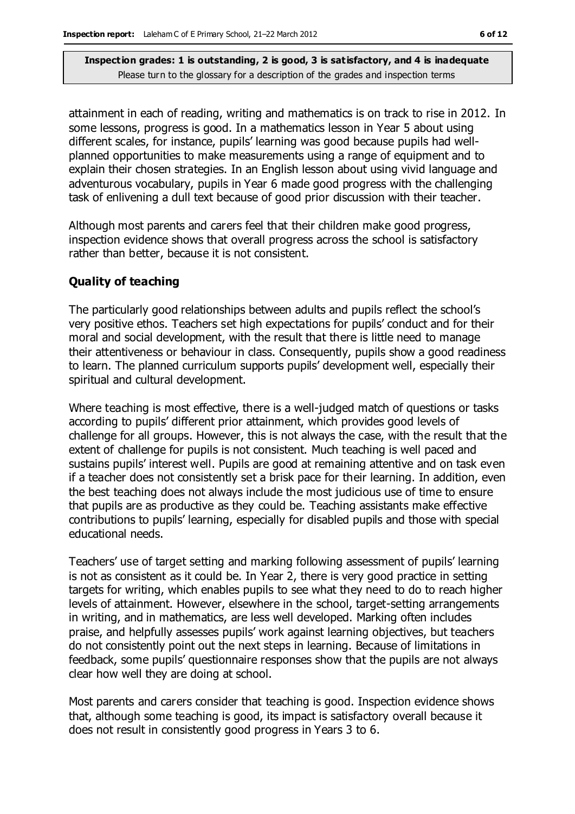attainment in each of reading, writing and mathematics is on track to rise in 2012. In some lessons, progress is good. In a mathematics lesson in Year 5 about using different scales, for instance, pupils' learning was good because pupils had wellplanned opportunities to make measurements using a range of equipment and to explain their chosen strategies. In an English lesson about using vivid language and adventurous vocabulary, pupils in Year 6 made good progress with the challenging task of enlivening a dull text because of good prior discussion with their teacher.

Although most parents and carers feel that their children make good progress, inspection evidence shows that overall progress across the school is satisfactory rather than better, because it is not consistent.

### **Quality of teaching**

The particularly good relationships between adults and pupils reflect the school's very positive ethos. Teachers set high expectations for pupils' conduct and for their moral and social development, with the result that there is little need to manage their attentiveness or behaviour in class. Consequently, pupils show a good readiness to learn. The planned curriculum supports pupils' development well, especially their spiritual and cultural development.

Where teaching is most effective, there is a well-judged match of questions or tasks according to pupils' different prior attainment, which provides good levels of challenge for all groups. However, this is not always the case, with the result that the extent of challenge for pupils is not consistent. Much teaching is well paced and sustains pupils' interest well. Pupils are good at remaining attentive and on task even if a teacher does not consistently set a brisk pace for their learning. In addition, even the best teaching does not always include the most judicious use of time to ensure that pupils are as productive as they could be. Teaching assistants make effective contributions to pupils' learning, especially for disabled pupils and those with special educational needs.

Teachers' use of target setting and marking following assessment of pupils' learning is not as consistent as it could be. In Year 2, there is very good practice in setting targets for writing, which enables pupils to see what they need to do to reach higher levels of attainment. However, elsewhere in the school, target-setting arrangements in writing, and in mathematics, are less well developed. Marking often includes praise, and helpfully assesses pupils' work against learning objectives, but teachers do not consistently point out the next steps in learning. Because of limitations in feedback, some pupils' questionnaire responses show that the pupils are not always clear how well they are doing at school.

Most parents and carers consider that teaching is good. Inspection evidence shows that, although some teaching is good, its impact is satisfactory overall because it does not result in consistently good progress in Years 3 to 6.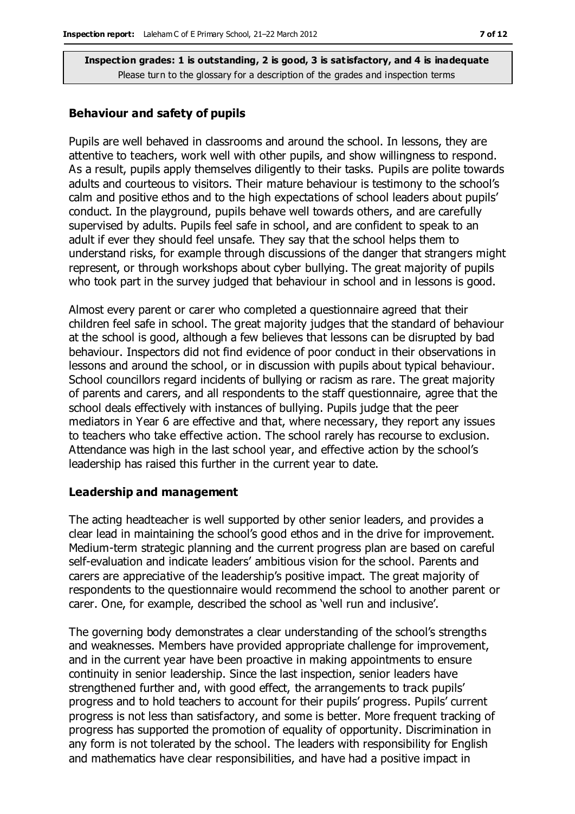#### **Behaviour and safety of pupils**

Pupils are well behaved in classrooms and around the school. In lessons, they are attentive to teachers, work well with other pupils, and show willingness to respond. As a result, pupils apply themselves diligently to their tasks. Pupils are polite towards adults and courteous to visitors. Their mature behaviour is testimony to the school's calm and positive ethos and to the high expectations of school leaders about pupils' conduct. In the playground, pupils behave well towards others, and are carefully supervised by adults. Pupils feel safe in school, and are confident to speak to an adult if ever they should feel unsafe. They say that the school helps them to understand risks, for example through discussions of the danger that strangers might represent, or through workshops about cyber bullying. The great majority of pupils who took part in the survey judged that behaviour in school and in lessons is good.

Almost every parent or carer who completed a questionnaire agreed that their children feel safe in school. The great majority judges that the standard of behaviour at the school is good, although a few believes that lessons can be disrupted by bad behaviour. Inspectors did not find evidence of poor conduct in their observations in lessons and around the school, or in discussion with pupils about typical behaviour. School councillors regard incidents of bullying or racism as rare. The great majority of parents and carers, and all respondents to the staff questionnaire, agree that the school deals effectively with instances of bullying. Pupils judge that the peer mediators in Year 6 are effective and that, where necessary, they report any issues to teachers who take effective action. The school rarely has recourse to exclusion. Attendance was high in the last school year, and effective action by the school's leadership has raised this further in the current year to date.

#### **Leadership and management**

The acting headteacher is well supported by other senior leaders, and provides a clear lead in maintaining the school's good ethos and in the drive for improvement. Medium-term strategic planning and the current progress plan are based on careful self-evaluation and indicate leaders' ambitious vision for the school. Parents and carers are appreciative of the leadership's positive impact. The great majority of respondents to the questionnaire would recommend the school to another parent or carer. One, for example, described the school as 'well run and inclusive'.

The governing body demonstrates a clear understanding of the school's strengths and weaknesses. Members have provided appropriate challenge for improvement, and in the current year have been proactive in making appointments to ensure continuity in senior leadership. Since the last inspection, senior leaders have strengthened further and, with good effect, the arrangements to track pupils' progress and to hold teachers to account for their pupils' progress. Pupils' current progress is not less than satisfactory, and some is better. More frequent tracking of progress has supported the promotion of equality of opportunity. Discrimination in any form is not tolerated by the school. The leaders with responsibility for English and mathematics have clear responsibilities, and have had a positive impact in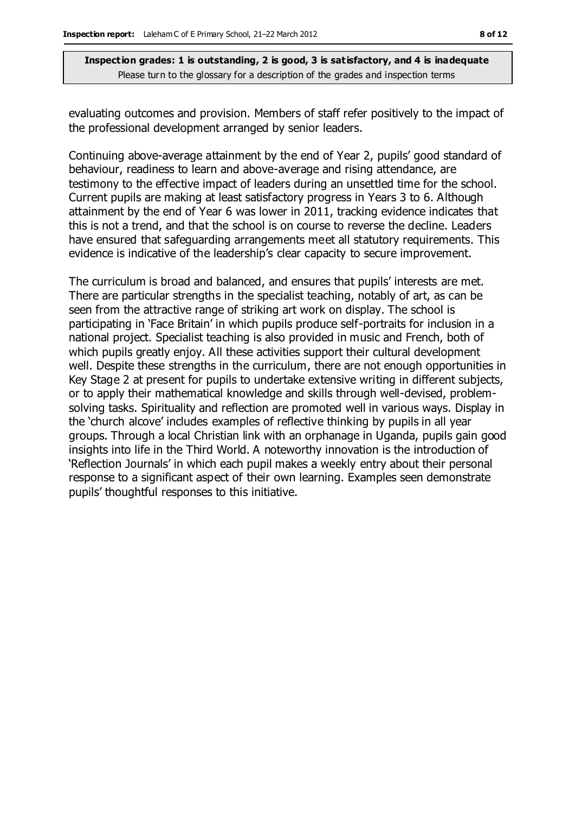evaluating outcomes and provision. Members of staff refer positively to the impact of the professional development arranged by senior leaders.

Continuing above-average attainment by the end of Year 2, pupils' good standard of behaviour, readiness to learn and above-average and rising attendance, are testimony to the effective impact of leaders during an unsettled time for the school. Current pupils are making at least satisfactory progress in Years 3 to 6. Although attainment by the end of Year 6 was lower in 2011, tracking evidence indicates that this is not a trend, and that the school is on course to reverse the decline. Leaders have ensured that safeguarding arrangements meet all statutory requirements. This evidence is indicative of the leadership's clear capacity to secure improvement.

The curriculum is broad and balanced, and ensures that pupils' interests are met. There are particular strengths in the specialist teaching, notably of art, as can be seen from the attractive range of striking art work on display. The school is participating in 'Face Britain' in which pupils produce self-portraits for inclusion in a national project. Specialist teaching is also provided in music and French, both of which pupils greatly enjoy. All these activities support their cultural development well. Despite these strengths in the curriculum, there are not enough opportunities in Key Stage 2 at present for pupils to undertake extensive writing in different subjects, or to apply their mathematical knowledge and skills through well-devised, problemsolving tasks. Spirituality and reflection are promoted well in various ways. Display in the 'church alcove' includes examples of reflective thinking by pupils in all year groups. Through a local Christian link with an orphanage in Uganda, pupils gain good insights into life in the Third World. A noteworthy innovation is the introduction of 'Reflection Journals' in which each pupil makes a weekly entry about their personal response to a significant aspect of their own learning. Examples seen demonstrate pupils' thoughtful responses to this initiative.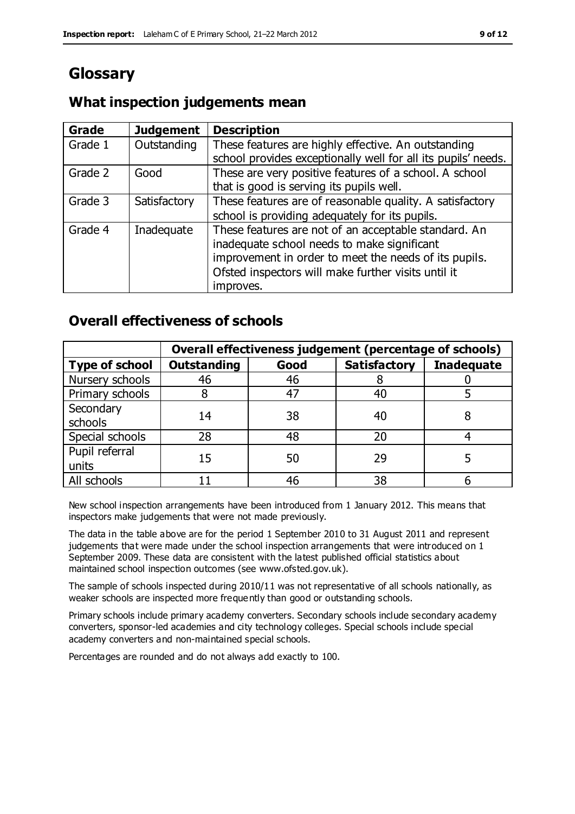# **Glossary**

# **What inspection judgements mean**

| Grade   | <b>Judgement</b> | <b>Description</b>                                                                                                                                                                                                               |
|---------|------------------|----------------------------------------------------------------------------------------------------------------------------------------------------------------------------------------------------------------------------------|
| Grade 1 | Outstanding      | These features are highly effective. An outstanding<br>school provides exceptionally well for all its pupils' needs.                                                                                                             |
| Grade 2 | Good             | These are very positive features of a school. A school<br>that is good is serving its pupils well.                                                                                                                               |
| Grade 3 | Satisfactory     | These features are of reasonable quality. A satisfactory<br>school is providing adequately for its pupils.                                                                                                                       |
| Grade 4 | Inadequate       | These features are not of an acceptable standard. An<br>inadequate school needs to make significant<br>improvement in order to meet the needs of its pupils.<br>Ofsted inspectors will make further visits until it<br>improves. |

# **Overall effectiveness of schools**

|                         | Overall effectiveness judgement (percentage of schools) |      |                     |                   |
|-------------------------|---------------------------------------------------------|------|---------------------|-------------------|
| <b>Type of school</b>   | <b>Outstanding</b>                                      | Good | <b>Satisfactory</b> | <b>Inadequate</b> |
| Nursery schools         | 46                                                      | 46   |                     |                   |
| Primary schools         |                                                         | 47   | 40                  |                   |
| Secondary<br>schools    | 14                                                      | 38   | 40                  |                   |
| Special schools         | 28                                                      | 48   | 20                  |                   |
| Pupil referral<br>units | 15                                                      | 50   | 29                  |                   |
| All schools             |                                                         | 46   | 38                  |                   |

New school inspection arrangements have been introduced from 1 January 2012. This means that inspectors make judgements that were not made previously.

The data in the table above are for the period 1 September 2010 to 31 August 2011 and represent judgements that were made under the school inspection arrangements that were introduced on 1 September 2009. These data are consistent with the latest published official statistics about maintained school inspection outcomes (see www.ofsted.gov.uk).

The sample of schools inspected during 2010/11 was not representative of all schools nationally, as weaker schools are inspected more frequently than good or outstanding schools.

Primary schools include primary academy converters. Secondary schools include secondary academy converters, sponsor-led academies and city technology colleges. Special schools include special academy converters and non-maintained special schools.

Percentages are rounded and do not always add exactly to 100.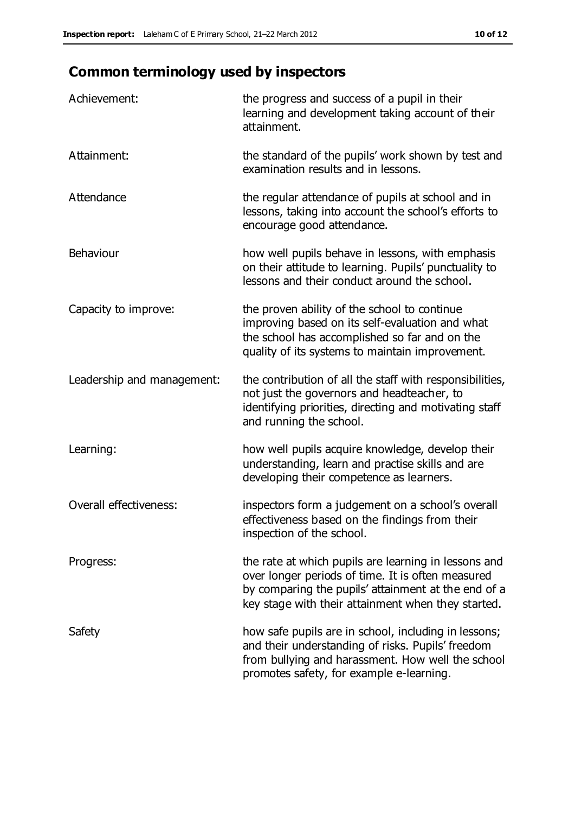# **Common terminology used by inspectors**

| Achievement:                  | the progress and success of a pupil in their<br>learning and development taking account of their<br>attainment.                                                                                                        |
|-------------------------------|------------------------------------------------------------------------------------------------------------------------------------------------------------------------------------------------------------------------|
| Attainment:                   | the standard of the pupils' work shown by test and<br>examination results and in lessons.                                                                                                                              |
| Attendance                    | the regular attendance of pupils at school and in<br>lessons, taking into account the school's efforts to<br>encourage good attendance.                                                                                |
| Behaviour                     | how well pupils behave in lessons, with emphasis<br>on their attitude to learning. Pupils' punctuality to<br>lessons and their conduct around the school.                                                              |
| Capacity to improve:          | the proven ability of the school to continue<br>improving based on its self-evaluation and what<br>the school has accomplished so far and on the<br>quality of its systems to maintain improvement.                    |
| Leadership and management:    | the contribution of all the staff with responsibilities,<br>not just the governors and headteacher, to<br>identifying priorities, directing and motivating staff<br>and running the school.                            |
| Learning:                     | how well pupils acquire knowledge, develop their<br>understanding, learn and practise skills and are<br>developing their competence as learners.                                                                       |
| <b>Overall effectiveness:</b> | inspectors form a judgement on a school's overall<br>effectiveness based on the findings from their<br>inspection of the school.                                                                                       |
| Progress:                     | the rate at which pupils are learning in lessons and<br>over longer periods of time. It is often measured<br>by comparing the pupils' attainment at the end of a<br>key stage with their attainment when they started. |
| Safety                        | how safe pupils are in school, including in lessons;<br>and their understanding of risks. Pupils' freedom<br>from bullying and harassment. How well the school<br>promotes safety, for example e-learning.             |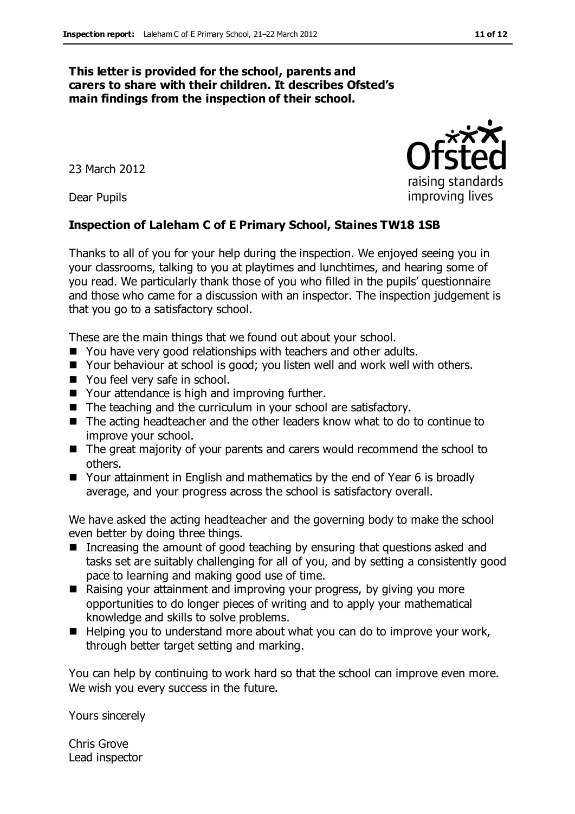#### **This letter is provided for the school, parents and carers to share with their children. It describes Ofsted's main findings from the inspection of their school.**

23 March 2012

Dear Pupils

#### **Inspection of Laleham C of E Primary School, Staines TW18 1SB**

Thanks to all of you for your help during the inspection. We enjoyed seeing you in your classrooms, talking to you at playtimes and lunchtimes, and hearing some of you read. We particularly thank those of you who filled in the pupils' questionnaire and those who came for a discussion with an inspector. The inspection judgement is that you go to a satisfactory school.

These are the main things that we found out about your school.

- You have very good relationships with teachers and other adults.
- Your behaviour at school is good; you listen well and work well with others.
- You feel very safe in school.
- Your attendance is high and improving further.
- The teaching and the curriculum in your school are satisfactory.
- The acting headteacher and the other leaders know what to do to continue to improve your school.
- The great majority of your parents and carers would recommend the school to others.
- Your attainment in English and mathematics by the end of Year 6 is broadly average, and your progress across the school is satisfactory overall.

We have asked the acting headteacher and the governing body to make the school even better by doing three things.

- **Increasing the amount of good teaching by ensuring that questions asked and** tasks set are suitably challenging for all of you, and by setting a consistently good pace to learning and making good use of time.
- Raising your attainment and improving your progress, by giving you more opportunities to do longer pieces of writing and to apply your mathematical knowledge and skills to solve problems.
- Helping you to understand more about what you can do to improve your work, through better target setting and marking.

You can help by continuing to work hard so that the school can improve even more. We wish you every success in the future.

Yours sincerely

Chris Grove Lead inspector